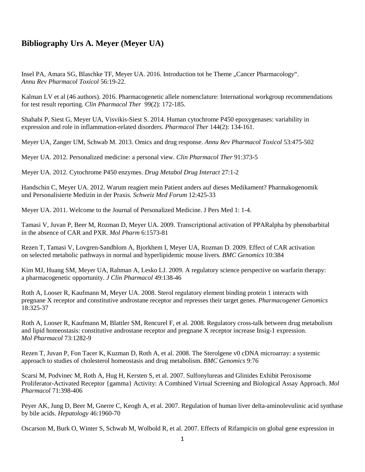## **Bibliography Urs A. Meyer (Meyer UA)**

Insel PA, Amara SG, Blaschke TF, Meyer UA. 2016. Introduction tot he Theme "Cancer Pharmacology". *Annu Rev Pharmacol Toxicol* 56:19-22.

Kalman LV et al (46 authors). 2016. Pharmacogenetic allele nomenclature: International workgroup recommendations for test result reporting. *Clin Pharmacol Ther* 99(2): 172-185.

Shahabi P, Siest G, Meyer UA, Visvikis-Siest S. 2014. Human cytochrome P450 epoxygenases: variability in expression and role in inflammation-related disorders. *Pharmacol Ther* 144(2): 134-161.

Meyer UA, Zanger UM, Schwab M. 2013. Omics and drug response. *Annu Rev Pharmacol Toxicol* 53:475-502

Meyer UA. 2012. Personalized medicine: a personal view. *Clin Pharmacol Ther* 91:373-5

Meyer UA. 2012. Cytochrome P450 enzymes. *Drug Metabol Drug Interact* 27:1-2

Handschin C, Meyer UA. 2012. Warum reagiert mein Patient anders auf dieses Medikament? Pharmakogenomik und Personalisierte Medizin in der Praxis. *Schweiz Med Forum* 12:425-33

Meyer UA. 2011. Welcome to the Journal of Personalized Medicine. J Pers Med 1: 1-4.

Tamasi V, Juvan P, Beer M, Rozman D, Meyer UA. 2009. Transcriptional activation of PPARalpha by phenobarbital in the absence of CAR and PXR. *Mol Pharm* 6:1573-81

Rezen T, Tamasi V, Lovgren-Sandblom A, Bjorkhem I, Meyer UA, Rozman D. 2009. Effect of CAR activation on selected metabolic pathways in normal and hyperlipidemic mouse livers. *BMC Genomics* 10:384

Kim MJ, Huang SM, Meyer UA, Rahman A, Lesko LJ. 2009. A regulatory science perspective on warfarin therapy: a pharmacogenetic opportunity. *J Clin Pharmacol* 49:138-46

Roth A, Looser R, Kaufmann M, Meyer UA. 2008. Sterol regulatory element binding protein 1 interacts with pregnane X receptor and constitutive androstane receptor and represses their target genes. *Pharmacogenet Genomics* 18:325-37

Roth A, Looser R, Kaufmann M, Blattler SM, Rencurel F, et al. 2008. Regulatory cross-talk between drug metabolism and lipid homeostasis: constitutive androstane receptor and pregnane X receptor increase Insig-1 expression. *Mol Pharmacol* 73:1282-9

Rezen T, Juvan P, Fon Tacer K, Kuzman D, Roth A, et al. 2008. The Sterolgene v0 cDNA microarray: a systemic approach to studies of cholesterol homeostasis and drug metabolism. *BMC Genomics* 9:76

Scarsi M, Podvinec M, Roth A, Hug H, Kersten S, et al. 2007. Sulfonylureas and Glinides Exhibit Peroxisome Proliferator-Activated Receptor {gamma} Activity: A Combined Virtual Screening and Biological Assay Approach. *Mol Pharmacol* 71:398-406

Peyer AK, Jung D, Beer M, Gnerre C, Keogh A, et al. 2007. Regulation of human liver delta-aminolevulinic acid synthase by bile acids. *Hepatology* 46:1960-70

Oscarson M, Burk O, Winter S, Schwab M, Wolbold R, et al. 2007. Effects of Rifampicin on global gene expression in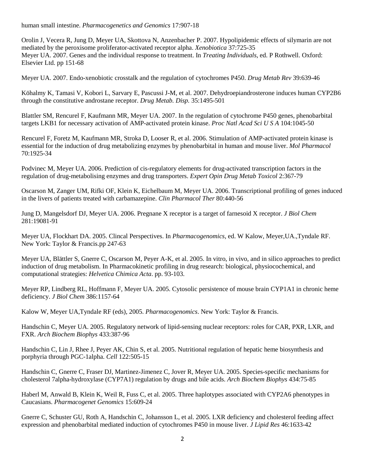human small intestine. *Pharmacogenetics and Genomics* 17:907-18

Orolin J, Vecera R, Jung D, Meyer UA, Skottova N, Anzenbacher P. 2007. Hypolipidemic effects of silymarin are not mediated by the peroxisome proliferator-activated receptor alpha. *Xenobiotica* 37:725-35 Meyer UA. 2007. Genes and the individual response to treatment. In *Treating Individuals*, ed. P Rothwell. Oxford: Elsevier Ltd. pp 151-68

Meyer UA. 2007. Endo-xenobiotic crosstalk and the regulation of cytochromes P450. *Drug Metab Rev* 39:639-46

Köhalmy K, Tamasi V, Kobori L, Sarvary E, Pascussi J-M, et al. 2007. Dehydroepiandrosterone induces human CYP2B6 through the constitutive androstane receptor. *Drug Metab. Disp.* 35:1495-501

Blattler SM, Rencurel F, Kaufmann MR, Meyer UA. 2007. In the regulation of cytochrome P450 genes, phenobarbital targets LKB1 for necessary activation of AMP-activated protein kinase. *Proc Natl Acad Sci U S A* 104:1045-50

Rencurel F, Foretz M, Kaufmann MR, Stroka D, Looser R, et al. 2006. Stimulation of AMP-activated protein kinase is essential for the induction of drug metabolizing enzymes by phenobarbital in human and mouse liver. *Mol Pharmacol* 70:1925-34

Podvinec M, Meyer UA. 2006. Prediction of cis-regulatory elements for drug-activated transcription factors in the regulation of drug-metabolising enzymes and drug transporters. *Expert Opin Drug Metab Toxicol* 2:367-79

Oscarson M, Zanger UM, Rifki OF, Klein K, Eichelbaum M, Meyer UA. 2006. Transcriptional profiling of genes induced in the livers of patients treated with carbamazepine. *Clin Pharmacol Ther* 80:440-56

Jung D, Mangelsdorf DJ, Meyer UA. 2006. Pregnane X receptor is a target of farnesoid X receptor. *J Biol Chem* 281:19081-91

Meyer UA, Flockhart DA. 2005. Clincal Perspectives. In *Pharmacogenomics*, ed. W Kalow, Meyer,UA.,Tyndale RF. New York: Taylor & Francis.pp 247-63

Meyer UA, Blättler S, Gnerre C, Oscarson M, Peyer A-K, et al. 2005. In vitro, in vivo, and in silico approaches to predict induction of drug metabolism. In Pharmacokinetic profiling in drug research: biological, physiocochemical, and computational strategies: *Helvetica Chimica Acta*. pp. 93-103.

Meyer RP, Lindberg RL, Hoffmann F, Meyer UA. 2005. Cytosolic persistence of mouse brain CYP1A1 in chronic heme deficiency. *J Biol Chem* 386:1157-64

Kalow W, Meyer UA,Tyndale RF (eds), 2005. *Pharmacogenomics*. New York: Taylor & Francis.

Handschin C, Meyer UA. 2005. Regulatory network of lipid-sensing nuclear receptors: roles for CAR, PXR, LXR, and FXR. *Arch Biochem Biophys* 433:387-96

Handschin C, Lin J, Rhee J, Peyer AK, Chin S, et al. 2005. Nutritional regulation of hepatic heme biosynthesis and porphyria through PGC-1alpha. *Cell* 122:505-15

Handschin C, Gnerre C, Fraser DJ, Martinez-Jimenez C, Jover R, Meyer UA. 2005. Species-specific mechanisms for cholesterol 7alpha-hydroxylase (CYP7A1) regulation by drugs and bile acids. *Arch Biochem Biophys* 434:75-85

Haberl M, Anwald B, Klein K, Weil R, Fuss C, et al. 2005. Three haplotypes associated with CYP2A6 phenotypes in Caucasians. *Pharmacogenet Genomics* 15:609-24

Gnerre C, Schuster GU, Roth A, Handschin C, Johansson L, et al. 2005. LXR deficiency and cholesterol feeding affect expression and phenobarbital mediated induction of cytochromes P450 in mouse liver. *J Lipid Res* 46:1633-42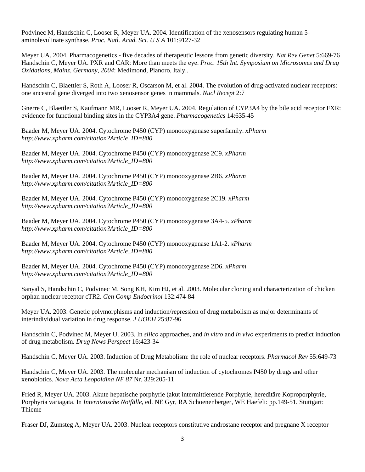Podvinec M, Handschin C, Looser R, Meyer UA. 2004. Identification of the xenosensors regulating human 5 aminolevulinate synthase. *Proc. Natl. Acad. Sci. U S A* 101:9127-32

Meyer UA. 2004. Pharmacogenetics - five decades of therapeutic lessons from genetic diversity. *Nat Rev Genet* 5:669-76 Handschin C, Meyer UA. PXR and CAR: More than meets the eye. *Proc. 15th Int. Symposium on Microsomes and Drug Oxidations*, *Mainz, Germany*, *2004*: Medimond, Pianoro, Italy..

Handschin C, Blaettler S, Roth A, Looser R, Oscarson M, et al. 2004. The evolution of drug-activated nuclear receptors: one ancestral gene diverged into two xenosensor genes in mammals. *Nucl Recept* 2:7

Gnerre C, Blaettler S, Kaufmann MR, Looser R, Meyer UA. 2004. Regulation of CYP3A4 by the bile acid receptor FXR: evidence for functional binding sites in the CYP3A4 gene. *Pharmacogenetics* 14:635-45

Baader M, Meyer UA. 2004. Cytochrome P450 (CYP) monooxygenase superfamily. *xPharm http://www.xpharm.com/citation?Article\_ID=800*

Baader M, Meyer UA. 2004. Cytochrome P450 (CYP) monooxygenase 2C9. *xPharm http://www.xpharm.com/citation?Article\_ID=800*

Baader M, Meyer UA. 2004. Cytochrome P450 (CYP) monooxygenase 2B6. *xPharm http://www.xpharm.com/citation?Article\_ID=800*

Baader M, Meyer UA. 2004. Cytochrome P450 (CYP) monooxygenase 2C19. *xPharm http://www.xpharm.com/citation?Article\_ID=800*

Baader M, Meyer UA. 2004. Cytochrome P450 (CYP) monooxygenase 3A4-5. *xPharm http://www.xpharm.com/citation?Article\_ID=800*

Baader M, Meyer UA. 2004. Cytochrome P450 (CYP) monooxygenase 1A1-2. *xPharm http://www.xpharm.com/citation?Article\_ID=800*

Baader M, Meyer UA. 2004. Cytochrome P450 (CYP) monooxygenase 2D6. *xPharm http://www.xpharm.com/citation?Article\_ID=800*

Sanyal S, Handschin C, Podvinec M, Song KH, Kim HJ, et al. 2003. Molecular cloning and characterization of chicken orphan nuclear receptor cTR2. *Gen Comp Endocrinol* 132:474-84

Meyer UA. 2003. Genetic polymorphisms and induction/repression of drug metabolism as major determinants of interindividual variation in drug response. *J UOEH* 25:87-96

Handschin C, Podvinec M, Meyer U. 2003. In *silico* approaches, and *in vitro* and *in vivo* experiments to predict induction of drug metabolism. *Drug News Perspect* 16:423-34

Handschin C, Meyer UA. 2003. Induction of Drug Metabolism: the role of nuclear receptors. *Pharmacol Rev* 55:649-73

Handschin C, Meyer UA. 2003. The molecular mechanism of induction of cytochromes P450 by drugs and other xenobiotics. *Nova Acta Leopoldina NF 87* Nr. 329:205-11

Fried R, Meyer UA. 2003. Akute hepatische porphyrie (akut intermittierende Porphyrie, hereditäre Koproporphyrie, Porphyria variagata. In *Internistische Notfälle*, ed. NE Gyr, RA Schoenenberger, WE Haefeli: pp.149-51. Stuttgart: Thieme

Fraser DJ, Zumsteg A, Meyer UA. 2003. Nuclear receptors constitutive androstane receptor and pregnane X receptor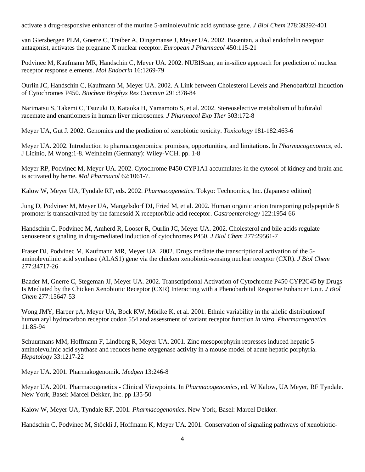activate a drug-responsive enhancer of the murine 5-aminolevulinic acid synthase gene. *J Biol Chem* 278:39392-401

van Giersbergen PLM, Gnerre C, Treiber A, Dingemanse J, Meyer UA. 2002. Bosentan, a dual endothelin receptor antagonist, activates the pregnane X nuclear receptor. *European J Pharmacol* 450:115-21

Podvinec M, Kaufmann MR, Handschin C, Meyer UA. 2002. NUBIScan, an in-silico approach for prediction of nuclear receptor response elements. *Mol Endocrin* 16:1269-79

Ourlin JC, Handschin C, Kaufmann M, Meyer UA. 2002. A Link between Cholesterol Levels and Phenobarbital Induction of Cytochromes P450. *Biochem Biophys Res Commun* 291:378-84

Narimatsu S, Takemi C, Tsuzuki D, Kataoka H, Yamamoto S, et al. 2002. Stereoselective metabolism of bufuralol racemate and enantiomers in human liver microsomes. *J Pharmacol Exp Ther* 303:172-8

Meyer UA, Gut J. 2002. Genomics and the prediction of xenobiotic toxicity. *Toxicology* 181-182:463-6

Meyer UA. 2002. Introduction to pharmacogenomics: promises, opportunities, and limitations. In *Pharmacogenomics*, ed. J Licinio, M Wong:1-8. Weinheim (Germany): Wiley-VCH. pp. 1-8

Meyer RP, Podvinec M, Meyer UA. 2002. Cytochrome P450 CYP1A1 accumulates in the cytosol of kidney and brain and is activated by heme. *Mol Pharmacol* 62:1061-7.

Kalow W, Meyer UA, Tyndale RF, eds. 2002. *Pharmacogenetics*. Tokyo: Technomics, Inc. (Japanese edition)

Jung D, Podvinec M, Meyer UA, Mangelsdorf DJ, Fried M, et al. 2002. Human organic anion transporting polypeptide 8 promoter is transactivated by the farnesoid X receptor/bile acid receptor. *Gastroenterology* 122:1954-66

Handschin C, Podvinec M, Amherd R, Looser R, Ourlin JC, Meyer UA. 2002. Cholesterol and bile acids regulate xenosensor signaling in drug-mediated induction of cytochromes P450. *J Biol Chem* 277:29561-7

Fraser DJ, Podvinec M, Kaufmann MR, Meyer UA. 2002. Drugs mediate the transcriptional activation of the 5 aminolevulinic acid synthase (ALAS1) gene via the chicken xenobiotic-sensing nuclear receptor (CXR). *J Biol Chem* 277:34717-26

Baader M, Gnerre C, Stegeman JJ, Meyer UA. 2002. Transcriptional Activation of Cytochrome P450 CYP2C45 by Drugs Is Mediated by the Chicken Xenobiotic Receptor (CXR) Interacting with a Phenobarbital Response Enhancer Unit. *J Biol Chem* 277:15647-53

Wong JMY, Harper pA, Meyer UA, Bock KW, Mörike K, et al. 2001. Ethnic variability in the allelic distributionof human aryl hydrocarbon receptor codon 554 and assessment of variant receptor function *in vitro*. *Pharmacogenetics* 11:85-94

Schuurmans MM, Hoffmann F, Lindberg R, Meyer UA. 2001. Zinc mesoporphyrin represses induced hepatic 5 aminolevulinic acid synthase and reduces heme oxygenase activity in a mouse model of acute hepatic porphyria. *Hepatology* 33:1217-22

Meyer UA. 2001. Pharmakogenomik. *Medgen* 13:246-8

Meyer UA. 2001. Pharmacogenetics - Clinical Viewpoints. In *Pharmacogenomics*, ed. W Kalow, UA Meyer, RF Tyndale. New York, Basel: Marcel Dekker, Inc. pp 135-50

Kalow W, Meyer UA, Tyndale RF. 2001. *Pharmacogenomics*. New York, Basel: Marcel Dekker.

Handschin C, Podvinec M, Stöckli J, Hoffmann K, Meyer UA. 2001. Conservation of signaling pathways of xenobiotic-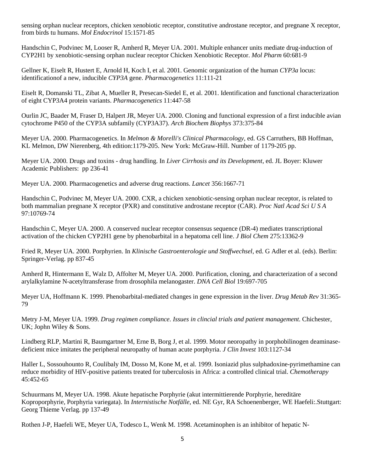sensing orphan nuclear receptors, chicken xenobiotic receptor, constitutive androstane receptor, and pregnane X receptor, from birds tu humans. *Mol Endocrinol* 15:1571-85

Handschin C, Podvinec M, Looser R, Amherd R, Meyer UA. 2001. Multiple enhancer units mediate drug-induction of CYP2H1 by xenobiotic-sensing orphan nuclear receptor Chicken Xenobiotic Receptor. *Mol Pharm* 60:681-9

Gellner K, Eiselt R, Hustert E, Arnold H, Koch I, et al. 2001. Genomic organization of the human *CYP3a* locus: identificationof a new, inducible *CYP3A* gene. *Pharmacogenetics* 11:111-21

Eiselt R, Domanski TL, Zibat A, Mueller R, Presecan-Siedel E, et al. 2001. Identification and functional characterization of eight CYP3A4 protein variants. *Pharmacogenetics* 11:447-58

Ourlin JC, Baader M, Fraser D, Halpert JR, Meyer UA. 2000. Cloning and functional expression of a first inducible avian cytochrome P450 of the CYP3A subfamily (CYP3A37). *Arch Biochem Biophys* 373:375-84

Meyer UA. 2000. Pharmacogenetics. In *Melmon & Morelli's Clinical Pharmacology*, ed. GS Carruthers, BB Hoffman, KL Melmon, DW Nierenberg, 4th edition:1179-205. New York: McGraw-Hill. Number of 1179-205 pp.

Meyer UA. 2000. Drugs and toxins - drug handling. In *Liver Cirrhosis and its Development*, ed. JL Boyer: Kluwer Academic Publishers: pp 236-41

Meyer UA. 2000. Pharmacogenetics and adverse drug reactions. *Lancet* 356:1667-71

Handschin C, Podvinec M, Meyer UA. 2000. CXR, a chicken xenobiotic-sensing orphan nuclear receptor, is related to both mammalian pregnane X receptor (PXR) and constitutive androstane receptor (CAR). *Proc Natl Acad Sci U S A* 97:10769-74

Handschin C, Meyer UA. 2000. A conserved nuclear receptor consensus sequence (DR-4) mediates transcriptional activation of the chicken CYP2H1 gene by phenobarbital in a hepatoma cell line. *J Biol Chem* 275:13362-9

Fried R, Meyer UA. 2000. Porphyrien. In *Klinische Gastroenterologie und Stoffwechsel*, ed. G Adler et al. (eds). Berlin: Springer-Verlag. pp 837-45

Amherd R, Hintermann E, Walz D, Affolter M, Meyer UA. 2000. Purification, cloning, and characterization of a second arylalkylamine N-acetyltransferase from drosophila melanogaster. *DNA Cell Biol* 19:697-705

Meyer UA, Hoffmann K. 1999. Phenobarbital-mediated changes in gene expression in the liver. *Drug Metab Rev* 31:365- 79

Metry J-M, Meyer UA. 1999. *Drug regimen compliance. Issues in clincial trials and patient management*. Chichester, UK; Jophn Wiley & Sons.

Lindberg RLP, Martini R, Baumgartner M, Erne B, Borg J, et al. 1999. Motor neoropathy in porphobilinogen deaminasedeficient mice imitates the peripheral neuropathy of human acute porphyria. *J Clin Invest* 103:1127-34

Haller L, Sossouhounto R, Coulibaly IM, Dosso M, Kone M, et al. 1999. Isoniazid plus sulphadoxine-pyrimethamine can reduce morbidity of HIV-positive patients treated for tuberculosis in Africa: a controlled clinical trial. *Chemotherapy* 45:452-65

Schuurmans M, Meyer UA. 1998. Akute hepatische Porphyrie (akut intermittierende Porphyrie, hereditäre Koproporphyrie, Porphyria variegata). In *Internistische Notfälle*, ed. NE Gyr, RA Schoenenberger, WE Haefeli:.Stuttgart: Georg Thieme Verlag. pp 137-49

Rothen J-P, Haefeli WE, Meyer UA, Todesco L, Wenk M. 1998. Acetaminophen is an inhibitor of hepatic N-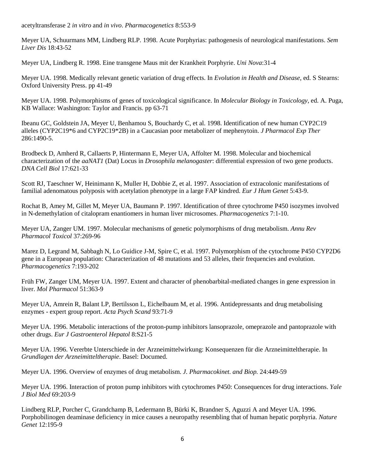## acetyltransferase 2 *in vitro* and *in vivo*. *Pharmacogenetics* 8:553-9

Meyer UA, Schuurmans MM, Lindberg RLP. 1998. Acute Porphyrias: pathogenesis of neurological manifestations. *Sem Liver Dis* 18:43-52

Meyer UA, Lindberg R. 1998. Eine transgene Maus mit der Krankheit Porphyrie. *Uni Nova*:31-4

Meyer UA. 1998. Medically relevant genetic variation of drug effects. In *Evolution in Health and Disease*, ed. S Stearns: Oxford University Press. pp 41-49

Meyer UA. 1998. Polymorphisms of genes of toxicological significance. In *Molecular Biology in Toxicology*, ed. A. Puga, KB Wallace: Washington: Taylor and Francis. pp 63-71

Ibeanu GC, Goldstein JA, Meyer U, Benhamou S, Bouchardy C, et al. 1998. Identification of new human CYP2C19 alleles (CYP2C19\*6 and CYP2C19\*2B) in a Caucasian poor metabolizer of mephenytoin. *J Pharmacol Exp Ther* 286:1490-5.

Brodbeck D, Amherd R, Callaerts P, Hintermann E, Meyer UA, Affolter M. 1998. Molecular and biochemical characterization of the *aaNAT1* (Dat) Locus in *Drosophila melanogaster*: differential expression of two gene products. *DNA Cell Biol* 17:621-33

Scott RJ, Taeschner W, Heinimann K, Muller H, Dobbie Z, et al. 1997. Association of extracolonic manifestations of familial adenomatous polyposis with acetylation phenotype in a large FAP kindred. *Eur J Hum Genet* 5:43-9.

Rochat B, Amey M, Gillet M, Meyer UA, Baumann P. 1997. Identification of three cytochrome P450 isozymes involved in N-demethylation of citalopram enantiomers in human liver microsomes. *Pharmacogenetics* 7:1-10.

Meyer UA, Zanger UM. 1997. Molecular mechanisms of genetic polymorphisms of drug metabolism. *Annu Rev Pharmacol Toxicol* 37:269-96

Marez D, Legrand M, Sabbagh N, Lo Guidice J-M, Spire C, et al. 1997. Polymorphism of the cytochrome P450 CYP2D6 gene in a European population: Characterization of 48 mutations and 53 alleles, their frequencies and evolution. *Pharmacogenetics* 7:193-202

Früh FW, Zanger UM, Meyer UA. 1997. Extent and character of phenobarbital-mediated changes in gene expression in liver. *Mol Pharmacol* 51:363-9

Meyer UA, Amrein R, Balant LP, Bertilsson L, Eichelbaum M, et al. 1996. Antidepressants and drug metabolising enzymes - expert group report. *Acta Psych Scand* 93:71-9

Meyer UA. 1996. Metabolic interactions of the proton-pump inhibitors lansoprazole, omeprazole and pantoprazole with other drugs. *Eur J Gastroenterol Hepatol* 8:S21-5

Meyer UA. 1996. Vererbte Unterschiede in der Arzneimittelwirkung: Konsequenzen für die Arzneimitteltherapie. In *Grundlagen der Arzneimitteltherapie*. Basel: Documed.

Meyer UA. 1996. Overview of enzymes of drug metabolism. *J. Pharmacokinet. and Biop.* 24:449-59

Meyer UA. 1996. Interaction of proton pump inhibitors with cytochromes P450: Consequences for drug interactions. *Yale J Biol Med* 69:203-9

Lindberg RLP, Porcher C, Grandchamp B, Ledermann B, Bürki K, Brandner S, Aguzzi A and Meyer UA. 1996. Porphobilinogen deaminase deficiency in mice causes a neuropathy resembling that of human hepatic porphyria. *Nature Genet* 12:195-9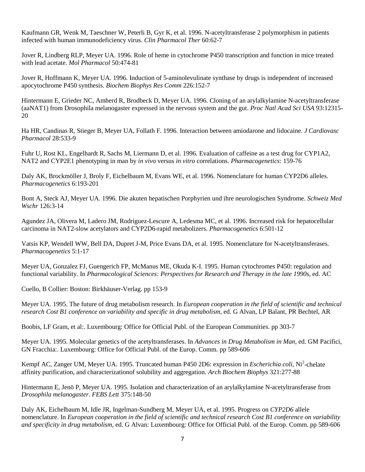Kaufmann GR, Wenk M, Taeschner W, Peterli B, Gyr K, et al. 1996. N-acetyltransferase 2 polymorphism in patients infected with human immunodeficiency virus. *Clin Pharmacol Ther* 60:62-7

Jover R, Lindberg RLP, Meyer UA. 1996. Role of heme in cytochrome P450 transcription and function in mice treated with lead acetate. *Mol Pharmacol* 50:474-81

Jover R, Hoffmann K, Meyer UA. 1996. Induction of 5-aminolevulinate synthase by drugs is independent of increased apocytochrome P450 synthesis. *Biochem Biophys Res Comm* 226:152-7

Hintermann E, Grieder NC, Amherd R, Brodbeck D, Meyer UA. 1996. Cloning of an arylalkylamine N-acetyltransferase (aaNAT1) from Drosophila melanogaster expressed in the nervous system and the gut. *Proc Natl Acad Sci USA* 93:12315- 20

Ha HR, Candinas R, Stieger B, Meyer UA, Follath F. 1996. Interaction between amiodarone and lidocaine. *J Cardiovasc Pharmacol* 28:533-9

Fuhr U, Rost KL, Engelhardt R, Sachs M, Liermann D, et al. 1996. Evaluation of caffeine as a test drug for CYP1A2, NAT2 and CYP2E1 phenotyping in man by *in vivo* versus *in vitro* correlations. *Pharmacogenetics*: 159-76

Daly AK, Brockmöller J, Broly F, Eichelbaum M, Evans WE, et al. 1996. Nomenclature for human CYP2D6 alleles. *Pharmacogenetics* 6:193-201

Bont A, Steck AJ, Meyer UA. 1996. Die akuten hepatischen Porphyrien und ihre neurologischen Syndrome. *Schweiz Med Wschr* 126:3-14

Agundez JA, Olivera M, Ladero JM, Rodriguez-Lescure A, Ledesma MC, et al. 1996. Increased risk for hepatocellular carcinoma in NAT2-slow acetylators and CYP2D6-rapid metabolizers. *Pharmacogenetics* 6:501-12

Vatsis KP, Wendell WW, Bell DA, Dupret J-M, Price Evans DA, et al. 1995. Nomenclature for N-acetyltransferases. *Pharmacogenetics* 5:1-17

Meyer UA, Gonzalez FJ, Guengerich FP, McManus ME, Okuda K-I. 1995. Human cytochromes P450: regulation and functional variability. In *Pharmacological Sciences: Perspectives for Research and Therapy in the late 1990s*, ed. AC

Cuello, B Collier: Boston: Birkhäuser-Verlag. pp 153-9

Meyer UA. 1995. The future of drug metabolism research. In *European cooperation in the field of scientific and technical research Cost B1 conference on variability and specific in drug metabolism*, ed. G Alvan, LP Balant, PR Bechtel, AR

Boobis, LF Gram, et al:. Luxembourg: Office for Official Publ. of the European Communities. pp 303-7

Meyer UA. 1995. Molecular genetics of the acetyltransferases. In *Advances in Drug Metabolism in Man*, ed. GM Pacifici, GN Fracchia:. Luxembourg: Office for Official Publ. of the Europ. Comm. pp 589-606

Kempf AC, Zanger UM, Meyer UA. 1995. Truncated human P450 2D6: expression in *Escherichia coli*, Ni<sup>2</sup>-chelate affinity purification, and characterizationof solubility and aggregation. *Arch Biochem Biophys* 321:277-88

Hintermann E, Jenö P, Meyer UA. 1995. Isolation and characterization of an arylalkylamine N-acetyltransferase from *Drosophila melanogaster*. *FEBS Lett* 375:148-50

Daly AK, Eichelbaum M, Idle JR, Ingelman-Sundberg M, Meyer UA, et al. 1995. Progress on *CYP2D6* allele nomenclature. In *European cooperation in the field of scientific and technical research Cost B1 conference on variability and specificity in drug metabolism*, ed. G Alvan: Luxembourg: Office for Official Publ. of the Europ. Comm. pp 589-606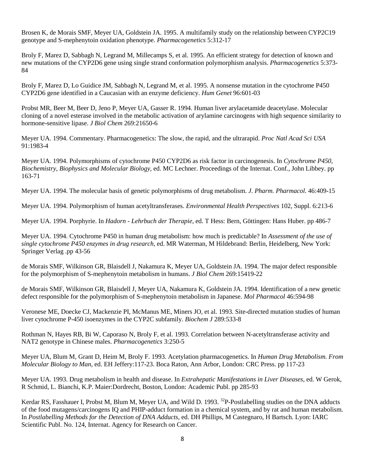Brosen K, de Morais SMF, Meyer UA, Goldstein JA. 1995. A multifamily study on the relationship between CYP2C19 genotype and S-mephenytoin oxidation phenotype. *Pharmacogenetics* 5:312-17

Broly F, Marez D, Sabbagh N, Legrand M, Millecamps S, et al. 1995. An efficient strategy for detection of known and new mutations of the CYP2D6 gene using single strand conformation polymorphism analysis. *Pharmacogenetics* 5:373- 84

Broly F, Marez D, Lo Guidice JM, Sabbagh N, Legrand M, et al. 1995. A nonsense mutation in the cytochrome P450 CYP2D6 gene identified in a Caucasian with an enzyme deficiency. *Hum Genet* 96:601-03

Probst MR, Beer M, Beer D, Jeno P, Meyer UA, Gasser R. 1994. Human liver arylacetamide deacetylase. Molecular cloning of a novel esterase involved in the metabolic activation of arylamine carcinogens with high sequence similarity to hormone-sensitive lipase. *J Biol Chem* 269:21650-6

Meyer UA. 1994. Commentary. Pharmacogenetics: The slow, the rapid, and the ultrarapid. *Proc Natl Acad Sci USA* 91:1983-4

Meyer UA. 1994. Polymorphisms of cytochrome P450 CYP2D6 as risk factor in carcinogenesis. In *Cytochrome P450, Biochemistry, Biophysics and Molecular Biology*, ed. MC Lechner. Proceedings of the Internat. Conf., John Libbey. pp 163-71

Meyer UA. 1994. The molecular basis of genetic polymorphisms of drug metabolism. *J. Pharm. Pharmacol.* 46:409-15

Meyer UA. 1994. Polymorphism of human acetyltransferases. *Environmental Health Perspectives* 102, Suppl. 6:213-6

Meyer UA. 1994. Porphyrie. In *Hadorn - Lehrbuch der Therapie*, ed. T Hess: Bern, Göttingen: Hans Huber. pp 486-7

Meyer UA. 1994. Cytochrome P450 in human drug metabolism: how much is predictable? In *Assessment of the use of single cytochrome P450 enzymes in drug research*, ed. MR Waterman, M Hildebrand: Berlin, Heidelberg, New York: Springer Verlag .pp 43-56

de Morais SMF, Wilkinson GR, Blaisdell J, Nakamura K, Meyer UA, Goldstein JA. 1994. The major defect responsible for the polymorphism of S-mephenytoin metabolism in humans. *J Biol Chem* 269:15419-22

de Morais SMF, Wilkinson GR, Blaisdell J, Meyer UA, Nakamura K, Goldstein JA. 1994. Identification of a new genetic defect responsible for the polymorphism of S-mephenytoin metabolism in Japanese. *Mol Pharmacol* 46:594-98

Veronese ME, Doecke CJ, Mackenzie PI, McManus ME, Miners JO, et al. 1993. Site-directed mutation studies of human liver cytochrome P-450 isoenzymes in the CYP2C subfamily. *Biochem J* 289:533-8

Rothman N, Hayes RB, Bi W, Caporaso N, Broly F, et al. 1993. Correlation between N-acetyltransferase activity and NAT2 genotype in Chinese males. *Pharmacogenetics* 3:250-5

Meyer UA, Blum M, Grant D, Heim M, Broly F. 1993. Acetylation pharmacogenetics. In *Human Drug Metabolism. From Molecular Biology to Man*, ed. EH Jeffery:117-23. Boca Raton, Ann Arbor, London: CRC Press. pp 117-23

Meyer UA. 1993. Drug metabolism in health and disease. In *Extrahepatic Manifestations in Liver Diseases*, ed. W Gerok, R Schmid, L. Bianchi, K.P. Maier:Dordrecht, Boston, London: Academic Publ. pp 285-93

Kerdar RS, Fasshauer I, Probst M, Blum M, Meyer UA, and Wild D. 1993. <sup>32</sup>P-Postlabelling studies on the DNA adducts of the food mutagens/carcinogens IQ and PHIP-adduct formation in a chemical system, and by rat and human metabolism. In *Postlabelling Methods for the Detection of DNA Adducts*, ed. DH Phillips, M Castegnaro, H Bartsch. Lyon: IARC Scientific Publ. No. 124, Internat. Agency for Research on Cancer.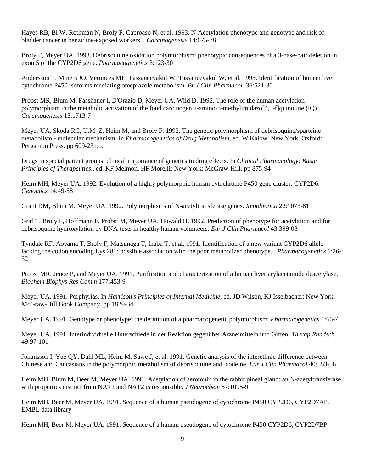Hayes RB, Bi W, Rothman N, Broly F, Caproaso N, et al. 1993. N-Acetylation phenotype and genotype and risk of bladder cancer in benzidine-exposed workers. . *Carcinogenesis* 14:675-78

Broly F, Meyer UA. 1993. Debrisoquine oxidation polymorphism: phenotypic consequences of a 3-base-pair deletion in exon 5 of the CYP2D6 gene. *Pharmacogenetics* 3:123-30

Andersson T, Miners JO, Veronees ME, Tassaneeyakul W, Tassaneeyakul W, et al. 1993. Identification of human liver cytochrome P450 isoforms mediating omeprazole metabolism. *Br J Clin Pharmacol* 36:521-30

Probst MR, Blum M, Fasshauer I, D'Orazio D, Meyer UA, Wild D. 1992. The role of the human acetylation polymorphism in the metabolic activation of the food carcinogen 2-amino-3-methylimidazo[4,5-f]quinoline (IQ). *Carcinogenesis* 13:1713-7

Meyer UA, Skoda RC, U.M. Z, Heim M, and Broly F. 1992. The genetic polymorphism of debrisoquine/sparteine metabolism - molecular mechanism. In *Pharmacogenetics of Drug Metabolism*, ed. W Kalow: New York, Oxford: Pergamon Press. pp 609-23 pp.

Drugs in special patient groups: clinical importance of genetics in drug effects. In *Clinical Pharmacology: Basic Principles of Therapeutics.*, ed. KF Melmon, HF Morelli: New York: McGraw-Hill. pp 875-94

Heim MH, Meyer UA. 1992. Evolution of a highly polymorphic human cytochrome P450 gene cluster: CYP2D6. *Genomics* 14:49-58

Grant DM, Blum M, Meyer UA. 1992. Polymorphisms of N-acetyltransferase genes. *Xenobiotica* 22:1073-81

Graf T, Broly F, Hoffmann F, Probst M, Meyer UA, Howald H. 1992. Prediction of phenotype for acetylation and for debrisoquine hydroxylation by DNA-tests in healthy human volunteers. *Eur J Clin Pharmacol* 43:399-03

Tyndale RF, Aoyama T, Broly F, Matsunaga T, Inaba T, et al. 1991. Identification of a new variant CYP2D6 allele lacking the codon encoding Lys 281: possible association with the poor metabolizer phenotype. . *Pharmacogenetics* 1:26- 32

Probst MR, Jenoe P, and Meyer UA. 1991. Purification and characterization of a human liver arylacetamide deacetylase. *Biochem Biophys Res Comm* 177:453-9

Meyer UA. 1991. Porphyrias. In *Harrison's Principles of Internal Medicine*, ed. JD Wilson, KJ Isselbacher: New York: McGraw-Hill Book Company. pp 1829-34

Meyer UA. 1991. Genotype or phenotype: the definition of a pharmacogenetic polymorphism. *Pharmacogenetics* 1:66-7

Meyer UA. 1991. Interindividuelle Unterschiede in der Reaktion gegenüber Arzneimitteln und Giften. *Therap Rundsch* 49:97-101

Johansson I, Yue QY, Dahl ML, Heim M, Sawe J, et al. 1991. Genetic analysis of the interethnic difference between Chinese and Caucasians in the polymorphic metabolism of debrisoquine and codeine. *Eur J Clin Pharmacol* 40:553-56

Heim MH, Blum M, Beer M, Meyer UA. 1991. Acetylation of serotonin in the rabbit pineal gland: an N-acetyltransferase with properties distinct from NAT1 and NAT2 is responsible. *J Neurochem* 57:1095-9

Heim MH, Beer M, Meyer UA. 1991. Sequence of a human pseudogene of cytochrome P450 CYP2D6, CYP2D7AP. EMBL data library

Heim MH, Beer M, Meyer UA. 1991. Sequence of a human pseudogene of cytochrome P450 CYP2D6, CYP2D7BP.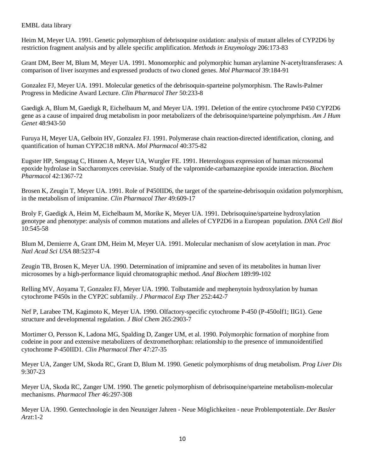## EMBL data library

Heim M, Meyer UA. 1991. Genetic polymorphism of debrisoquine oxidation: analysis of mutant alleles of CYP2D6 by restriction fragment analysis and by allele specific amplification. *Methods in Enzymology* 206:173-83

Grant DM, Beer M, Blum M, Meyer UA. 1991. Monomorphic and polymorphic human arylamine N-acetyltransferases: A comparison of liver isozymes and expressed products of two cloned genes. *Mol Pharmacol* 39:184-91

Gonzalez FJ, Meyer UA. 1991. Molecular genetics of the debrisoquin-sparteine polymorphism. The Rawls-Palmer Progress in Medicine Award Lecture. *Clin Pharmacol Ther* 50:233-8

Gaedigk A, Blum M, Gaedigk R, Eichelbaum M, and Meyer UA. 1991. Deletion of the entire cytochrome P450 CYP2D6 gene as a cause of impaired drug metabolism in poor metabolizers of the debrisoquine/sparteine polymprhism. *Am J Hum Genet* 48:943-50

Furuya H, Meyer UA, Gelboin HV, Gonzalez FJ. 1991. Polymerase chain reaction-directed identification, cloning, and quantification of human CYP2C18 mRNA. *Mol Pharmacol* 40:375-82

Eugster HP, Sengstag C, Hinnen A, Meyer UA, Wurgler FE. 1991. Heterologous expression of human microsomal epoxide hydrolase in Saccharomyces cerevisiae. Study of the valpromide-carbamazepine epoxide interaction. *Biochem Pharmacol* 42:1367-72

Brosen K, Zeugin T, Meyer UA. 1991. Role of P450IID6, the target of the sparteine-debrisoquin oxidation polymorphism, in the metabolism of imipramine. *Clin Pharmacol Ther* 49:609-17

Broly F, Gaedigk A, Heim M, Eichelbaum M, Morike K, Meyer UA. 1991. Debrisoquine/sparteine hydroxylation genotype and phenotype: analysis of common mutations and alleles of CYP2D6 in a European population. *DNA Cell Biol* 10:545-58

Blum M, Demierre A, Grant DM, Heim M, Meyer UA. 1991. Molecular mechanism of slow acetylation in man. *Proc Natl Acad Sci USA* 88:5237-4

Zeugin TB, Brosen K, Meyer UA. 1990. Determination of imipramine and seven of its metabolites in human liver microsomes by a high-performance liquid chromatographic method. *Anal Biochem* 189:99-102

Relling MV, Aoyama T, Gonzalez FJ, Meyer UA. 1990. Tolbutamide and mephenytoin hydroxylation by human cytochrome P450s in the CYP2C subfamily. *J Pharmacol Exp Ther* 252:442-7

Nef P, Larabee TM, Kagimoto K, Meyer UA. 1990. Olfactory-specific cytochrome P-450 (P-450olf1; IIG1). Gene structure and developmental regulation. *J Biol Chem* 265:2903-7

Mortimer O, Persson K, Ladona MG, Spalding D, Zanger UM, et al. 1990. Polymorphic formation of morphine from codeine in poor and extensive metabolizers of dextromethorphan: relationship to the presence of immunoidentified cytochrome P-450IID1. *Clin Pharmacol Ther* 47:27-35

Meyer UA, Zanger UM, Skoda RC, Grant D, Blum M. 1990. Genetic polymorphisms of drug metabolism. *Prog Liver Dis* 9:307-23

Meyer UA, Skoda RC, Zanger UM. 1990. The genetic polymorphism of debrisoquine/sparteine metabolism-molecular mechanisms. *Pharmacol Ther* 46:297-308

Meyer UA. 1990. Gentechnologie in den Neunziger Jahren - Neue Möglichkeiten - neue Problempotentiale. *Der Basler Arzt*:1-2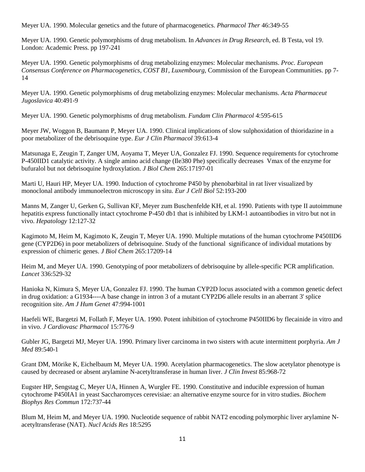Meyer UA. 1990. Molecular genetics and the future of pharmacogenetics. *Pharmacol Ther* 46:349-55

Meyer UA. 1990. Genetic polymorphisms of drug metabolism. In *Advances in Drug Research*, ed. B Testa, vol 19. London: Academic Press. pp 197-241

Meyer UA. 1990. Genetic polymorphisms of drug metabolizing enzymes: Molecular mechanisms. *Proc. European Consensus Conference on Pharmacogenetics, COST B1*, *Luxembourg*, Commission of the European Communities. pp 7- 14

Meyer UA. 1990. Genetic polymorphisms of drug metabolizing enzymes: Molecular mechanisms. *Acta Pharmaceut Jugoslavica* 40:491-9

Meyer UA. 1990. Genetic polymorphisms of drug metabolism. *Fundam Clin Pharmacol* 4:595-615

Meyer JW, Woggon B, Baumann P, Meyer UA. 1990. Clinical implications of slow sulphoxidation of thioridazine in a poor metabolizer of the debrisoquine type. *Eur J Clin Pharmacol* 39:613-4

Matsunaga E, Zeugin T, Zanger UM, Aoyama T, Meyer UA, Gonzalez FJ. 1990. Sequence requirements for cytochrome P-450IID1 catalytic activity. A single amino acid change (Ile380 Phe) specifically decreases Vmax of the enzyme for bufuralol but not debrisoquine hydroxylation. *J Biol Chem* 265:17197-01

Marti U, Hauri HP, Meyer UA. 1990. Induction of cytochrome P450 by phenobarbital in rat liver visualized by monoclonal antibody immunoelectron microscopy in situ. *Eur J Cell Biol* 52:193-200

Manns M, Zanger U, Gerken G, Sullivan KF, Meyer zum Buschenfelde KH, et al. 1990. Patients with type II autoimmune hepatitis express functionally intact cytochrome P-450 db1 that is inhibited by LKM-1 autoantibodies in vitro but not in vivo. *Hepatology* 12:127-32

Kagimoto M, Heim M, Kagimoto K, Zeugin T, Meyer UA. 1990. Multiple mutations of the human cytochrome P450IID6 gene (CYP2D6) in poor metabolizers of debrisoquine. Study of the functional significance of individual mutations by expression of chimeric genes. *J Biol Chem* 265:17209-14

Heim M, and Meyer UA. 1990. Genotyping of poor metabolizers of debrisoquine by allele-specific PCR amplification. *Lancet* 336:529-32

Hanioka N, Kimura S, Meyer UA, Gonzalez FJ. 1990. The human CYP2D locus associated with a common genetic defect in drug oxidation: a G1934----A base change in intron 3 of a mutant CYP2D6 allele results in an aberrant 3' splice recognition site. *Am J Hum Genet* 47:994-1001

Haefeli WE, Bargetzi M, Follath F, Meyer UA. 1990. Potent inhibition of cytochrome P450IID6 by flecainide in vitro and in vivo. *J Cardiovasc Pharmacol* 15:776-9

Gubler JG, Bargetzi MJ, Meyer UA. 1990. Primary liver carcinoma in two sisters with acute intermittent porphyria. *Am J Med* 89:540-1

Grant DM, Mörike K, Eichelbaum M, Meyer UA. 1990. Acetylation pharmacogenetics. The slow acetylator phenotype is caused by decreased or absent arylamine N-acetyltransferase in human liver. *J Clin Invest* 85:968-72

Eugster HP, Sengstag C, Meyer UA, Hinnen A, Wurgler FE. 1990. Constitutive and inducible expression of human cytochrome P450IA1 in yeast Saccharomyces cerevisiae: an alternative enzyme source for in vitro studies. *Biochem Biophys Res Commun* 172:737-44

Blum M, Heim M, and Meyer UA. 1990. Nucleotide sequence of rabbit NAT2 encoding polymorphic liver arylamine Nacetyltransferase (NAT). *Nucl Acids Res* 18:5295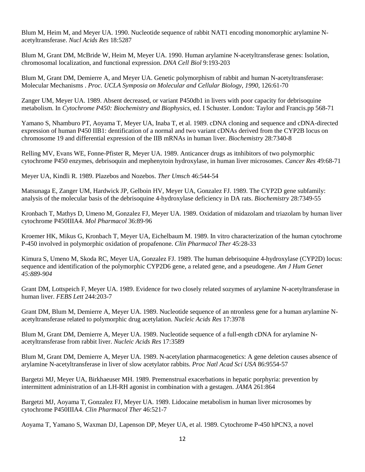Blum M, Heim M, and Meyer UA. 1990. Nucleotide sequence of rabbit NAT1 encoding monomorphic arylamine Nacetyltransferase. *Nucl Acids Res* 18:5287

Blum M, Grant DM, McBride W, Heim M, Meyer UA. 1990. Human arylamine N-acetyltransferase genes: Isolation, chromosomal localization, and functional expression. *DNA Cell Biol* 9:193-203

Blum M, Grant DM, Demierre A, and Meyer UA. Genetic polymorphism of rabbit and human N-acetyltransferase: Molecular Mechanisms . *Proc. UCLA Symposia on Molecular and Cellular Biology*, *1990*, 126:61-70

Zanger UM, Meyer UA. 1989. Absent decreased, or variant P450db1 in livers with poor capacity for debrisoquine metabolism. In *Cytochrome P450: Biochemistry and Biophysics*, ed. I Schuster. London: Taylor and Francis.pp 568-71

Yamano S, Nhamburo PT, Aoyama T, Meyer UA, Inaba T, et al. 1989. cDNA cloning and sequence and cDNA-directed expression of human P450 IIB1: dentification of a normal and two variant cDNAs derived from the CYP2B locus on chromosome 19 and differential expression of the IIB mRNAs in human liver. *Biochemistry* 28:7340-8

Relling MV, Evans WE, Fonne-Pfister R, Meyer UA. 1989. Anticancer drugs as itnhibitors of two polymorphic cytochrome P450 enzymes, debrisoquin and mephenytoin hydroxylase, in human liver microsomes. *Cancer Res* 49:68-71

Meyer UA, Kindli R. 1989. Plazebos and Nozebos. *Ther Umsch* 46:544-54

Matsunaga E, Zanger UM, Hardwick JP, Gelboin HV, Meyer UA, Gonzalez FJ. 1989. The CYP2D gene subfamily: analysis of the molecular basis of the debrisoquine 4-hydroxylase deficiency in DA rats. *Biochemistry* 28:7349-55

Kronbach T, Mathys D, Umeno M, Gonzalez FJ, Meyer UA. 1989. Oxidation of midazolam and triazolam by human liver cytochrome P450IIIA4. *Mol Pharmacol* 36:89-96

Kroemer HK, Mikus G, Kronbach T, Meyer UA, Eichelbaum M. 1989. In vitro characterization of the human cytochrome P-450 involved in polymorphic oxidation of propafenone. *Clin Pharmacol Ther* 45:28-33

Kimura S, Umeno M, Skoda RC, Meyer UA, Gonzalez FJ. 1989. The human debrisoquine 4-hydroxylase (CYP2D) locus: sequence and identification of the polymorphic CYP2D6 gene, a related gene, and a pseudogene. *Am J Hum Genet 45:889-904*

Grant DM, Lottspeich F, Meyer UA. 1989. Evidence for two closely related sozymes of arylamine N-acetyltransferase in human liver. *FEBS Lett* 244:203-7

Grant DM, Blum M, Demierre A, Meyer UA. 1989. Nucleotide sequence of an ntronless gene for a human arylamine Nacetyltransferase related to polymorphic drug acetylation. *Nucleic Acids Res* 17:3978

Blum M, Grant DM, Demierre A, Meyer UA. 1989. Nucleotide sequence of a full-ength cDNA for arylamine Nacetyltransferase from rabbit liver. *Nucleic Acids Res* 17:3589

Blum M, Grant DM, Demierre A, Meyer UA. 1989. N-acetylation pharmacogenetics: A gene deletion causes absence of arylamine N-acetyltransferase in liver of slow acetylator rabbits. *Proc Natl Acad Sci USA* 86:9554-57

Bargetzi MJ, Meyer UA, Birkhaeuser MH. 1989. Premenstrual exacerbations in hepatic porphyria: prevention by intermittent administration of an LH-RH agonist in combination with a gestagen. *JAMA* 261:864

Bargetzi MJ, Aoyama T, Gonzalez FJ, Meyer UA. 1989. Lidocaine metabolism in human liver microsomes by cytochrome P450IIIA4. *Clin Pharmacol Ther* 46:521-7

Aoyama T, Yamano S, Waxman DJ, Lapenson DP, Meyer UA, et al. 1989. Cytochrome P-450 hPCN3, a novel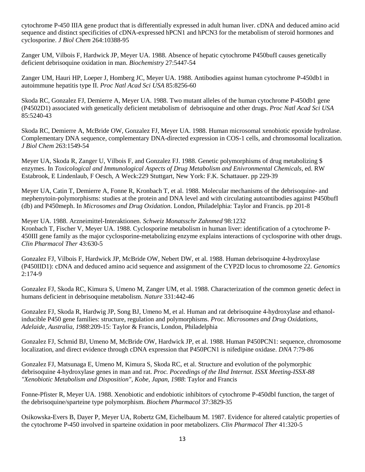cytochrome P-450 IIIA gene product that is differentially expressed in adult human liver. cDNA and deduced amino acid sequence and distinct specificities of cDNA-expressed hPCN1 and hPCN3 for the metabolism of steroid hormones and cyclosporine. *J Biol Chem* 264:10388-95

Zanger UM, Vilbois F, Hardwick JP, Meyer UA. 1988. Absence of hepatic cytochrome P450bufI causes genetically deficient debrisoquine oxidation in man. *Biochemistry* 27:5447-54

Zanger UM, Hauri HP, Loeper J, Homberg JC, Meyer UA. 1988. Antibodies against human cytochrome P-450db1 in autoimmune hepatitis type II. *Proc Natl Acad Sci USA* 85:8256-60

Skoda RC, Gonzalez FJ, Demierre A, Meyer UA. 1988. Two mutant alleles of the human cytochrome P-450db1 gene (P4502D1) associated with genetically deficient metabolism of debrisoquine and other drugs. *Proc Natl Acad Sci USA* 85:5240-43

Skoda RC, Demierre A, McBride OW, Gonzalez FJ, Meyer UA. 1988. Human microsomal xenobiotic epoxide hydrolase. Complementary DNA sequence, complementary DNA-directed expression in COS-1 cells, and chromosomal localization. *J Biol Chem* 263:1549-54

Meyer UA, Skoda R, Zanger U, Vilbois F, and Gonzalez FJ. 1988. Genetic polymorphisms of drug metabolizing \$ enzymes. In *Toxicological and Immunological Aspects of Drug Metabolism and Enivronmental Chemicals*, ed. RW Estabrook, E Lindenlaub, F Oesch, A Weck:229 Stuttgart, New York: F.K. Schattauer. pp 229-39

Meyer UA, Catin T, Demierre A, Fonne R, Kronbach T, et al. 1988. Molecular mechanisms of the debrisoquine- and mephenytoin-polymorphisms: studies at the protein and DNA level and with circulating autoantibodies against P450bufI (db) and P450meph. In *Microsomes and Drug Oxidation*. London, Philadelphia: Taylor and Francis. pp 201-8

Meyer UA. 1988. Arzneimittel-Interaktionen. *Schweiz Monatsschr Zahnmed* 98:1232 Kronbach T, Fischer V, Meyer UA. 1988. Cyclosporine metabolism in human liver: identification of a cytochrome P-450III gene family as the major cyclosporine-metabolizing enzyme explains interactions of cyclosporine with other drugs. *Clin Pharmacol Ther* 43:630-5

Gonzalez FJ, Vilbois F, Hardwick JP, McBride OW, Nebert DW, et al. 1988. Human debrisoquine 4-hydroxylase (P450IID1): cDNA and deduced amino acid sequence and assignment of the CYP2D locus to chromosome 22. *Genomics* 2:174-9

Gonzalez FJ, Skoda RC, Kimura S, Umeno M, Zanger UM, et al. 1988. Characterization of the common genetic defect in humans deficient in debrisoquine metabolism. *Nature* 331:442-46

Gonzalez FJ, Skoda R, Hardwig JP, Song BJ, Umeno M, et al. Human and rat debrisoquine 4-hydroxylase and ethanolinducible P450 gene families: structure, regulation and polymorphisms. *Proc. Microsomes and Drug Oxidations*, *Adelaide, Australia*, *1988*:209-15: Taylor & Francis, London, Philadelphia

Gonzalez FJ, Schmid BJ, Umeno M, McBride OW, Hardwick JP, et al. 1988. Human P450PCN1: sequence, chromosome localization, and direct evidence through cDNA expression that P450PCN1 is nifedipine oxidase. *DNA* 7:79-86

Gonzalez FJ, Matsunaga E, Umeno M, Kimura S, Skoda RC, et al. Structure and evolution of the polymorphic debrisoquine 4-hydroxylase genes in man and rat. *Proc. Poceedings of the IInd Internat. ISSX Meeting-ISSX-88 "Xenobiotic Metabolism and Disposition"*, *Kobe, Japan*, *1988*: Taylor and Francis

Fonne-Pfister R, Meyer UA. 1988. Xenobiotic and endobiotic inhibitors of cytochrome P-450dbl function, the target of the debrisoquine/sparteine type polymorphism. *Biochem Pharmacol* 37:3829-35

Osikowska-Evers B, Dayer P, Meyer UA, Robertz GM, Eichelbaum M. 1987. Evidence for altered catalytic properties of the cytochrome P-450 involved in sparteine oxidation in poor metabolizers. *Clin Pharmacol Ther* 41:320-5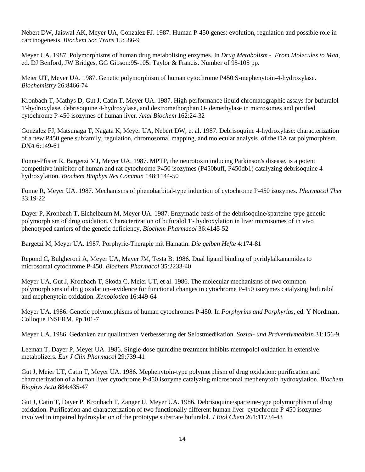Nebert DW, Jaiswal AK, Meyer UA, Gonzalez FJ. 1987. Human P-450 genes: evolution, regulation and possible role in carcinogenesis. *Biochem Soc Trans* 15:586-9

Meyer UA. 1987. Polymorphisms of human drug metabolising enzymes. In *Drug Metabolism - From Molecules to Man*, ed. DJ Benford, JW Bridges, GG Gibson:95-105: Taylor & Francis. Number of 95-105 pp.

Meier UT, Meyer UA. 1987. Genetic polymorphism of human cytochrome P450 S-mephenytoin-4-hydroxylase. *Biochemistry* 26:8466-74

Kronbach T, Mathys D, Gut J, Catin T, Meyer UA. 1987. High-performance liquid chromatographic assays for bufuralol 1'-hydroxylase, debrisoquine 4-hydroxylase, and dextromethorphan O- demethylase in microsomes and purified cytochrome P-450 isozymes of human liver. *Anal Biochem* 162:24-32

Gonzalez FJ, Matsunaga T, Nagata K, Meyer UA, Nebert DW, et al. 1987. Debrisoquine 4-hydroxylase: characterization of a new P450 gene subfamily, regulation, chromosomal mapping, and molecular analysis of the DA rat polymorphism. *DNA* 6:149-61

Fonne-Pfister R, Bargetzi MJ, Meyer UA. 1987. MPTP, the neurotoxin inducing Parkinson's disease, is a potent competitive inhibitor of human and rat cytochrome P450 isozymes (P450bufI, P450db1) catalyzing debrisoquine 4 hydroxylation. *Biochem Biophys Res Commun* 148:1144-50

Fonne R, Meyer UA. 1987. Mechanisms of phenobarbital-type induction of cytochrome P-450 isozymes. *Pharmacol Ther* 33:19-22

Dayer P, Kronbach T, Eichelbaum M, Meyer UA. 1987. Enzymatic basis of the debrisoquine/sparteine-type genetic polymorphism of drug oxidation. Characterization of bufuralol 1'- hydroxylation in liver microsomes of in vivo phenotyped carriers of the genetic deficiency. *Biochem Pharmacol* 36:4145-52

Bargetzi M, Meyer UA. 1987. Porphyrie-Therapie mit Hämatin. *Die gelben Hefte* 4:174-81

Repond C, Bulgheroni A, Meyer UA, Mayer JM, Testa B. 1986. Dual ligand binding of pyridylalkanamides to microsomal cytochrome P-450. *Biochem Pharmacol* 35:2233-40

Meyer UA, Gut J, Kronbach T, Skoda C, Meier UT, et al. 1986. The molecular mechanisms of two common polymorphisms of drug oxidation--evidence for functional changes in cytochrome P-450 isozymes catalysing bufuralol and mephenytoin oxidation. *Xenobiotica* 16:449-64

Meyer UA. 1986. Genetic polymorphisms of human cytochromes P-450. In *Porphyrins and Porphyrias*, ed. Y Nordman, Colloque INSERM. Pp 101-7

Meyer UA. 1986. Gedanken zur qualitativen Verbesserung der Selbstmedikation. *Sozial- und Präventivmedizin* 31:156-9

Leeman T, Dayer P, Meyer UA. 1986. Single-dose quinidine treatment inhibits metropolol oxidation in extensive metabolizers. *Eur J Clin Pharmacol* 29:739-41

Gut J, Meier UT, Catin T, Meyer UA. 1986. Mephenytoin-type polymorphism of drug oxidation: purification and characterization of a human liver cytochrome P-450 isozyme catalyzing microsomal mephenytoin hydroxylation. *Biochem Biophys Acta* 884:435-47

Gut J, Catin T, Dayer P, Kronbach T, Zanger U, Meyer UA. 1986. Debrisoquine/sparteine-type polymorphism of drug oxidation. Purification and characterization of two functionally different human liver cytochrome P-450 isozymes involved in impaired hydroxylation of the prototype substrate bufuralol. *J Biol Chem* 261:11734-43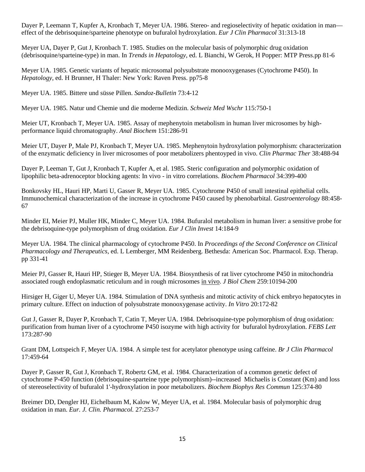Dayer P, Leemann T, Kupfer A, Kronbach T, Meyer UA. 1986. Stereo- and regioselectivity of hepatic oxidation in man effect of the debrisoquine/sparteine phenotype on bufuralol hydroxylation. *Eur J Clin Pharmacol* 31:313-18

Meyer UA, Dayer P, Gut J, Kronbach T. 1985. Studies on the molecular basis of polymorphic drug oxidation (debrisoquine/sparteine-type) in man. In *Trends in Hepatology*, ed. L Bianchi, W Gerok, H Popper: MTP Press.pp 81-6

Meyer UA. 1985. Genetic variants of hepatic microsomal polysubstrate monooxygenases (Cytochrome P450). In *Hepatology*, ed. H Brunner, H Thaler: New York: Raven Press. pp75-8

Meyer UA. 1985. Bittere und süsse Pillen. *Sandoz-Bulletin* 73:4-12

Meyer UA. 1985. Natur und Chemie und die moderne Medizin. *Schweiz Med Wschr* 115:750-1

Meier UT, Kronbach T, Meyer UA. 1985. Assay of mephenytoin metabolism in human liver microsomes by highperformance liquid chromatography. *Anal Biochem* 151:286-91

Meier UT, Dayer P, Male PJ, Kronbach T, Meyer UA. 1985. Mephenytoin hydroxylation polymorphism: characterization of the enzymatic deficiency in liver microsomes of poor metabolizers phentoyped in vivo. *Clin Pharmac Ther* 38:488-94

Dayer P, Leeman T, Gut J, Kronbach T, Kupfer A, et al. 1985. Steric configuration and polymorphic oxidation of lipophilic beta-adrenoceptor blocking agents: In vivo - in vitro correlations. *Biochem Pharmacol* 34:399-400

Bonkovsky HL, Hauri HP, Marti U, Gasser R, Meyer UA. 1985. Cytochrome P450 of small intestinal epithelial cells. Immunochemical characterization of the increase in cytochrome P450 caused by phenobarbital. *Gastroenterology* 88:458- 67

Minder EI, Meier PJ, Muller HK, Minder C, Meyer UA. 1984. Bufuralol metabolism in human liver: a sensitive probe for the debrisoquine-type polymorphism of drug oxidation. *Eur J Clin Invest* 14:184-9

Meyer UA. 1984. The clinical pharmacology of cytochrome P450. In *Proceedings of the Second Conference on Clinical Pharmacology and Therapeutics*, ed. L Lemberger, MM Reidenberg. Bethesda: American Soc. Pharmacol. Exp. Therap. pp 331-41

Meier PJ, Gasser R, Hauri HP, Stieger B, Meyer UA. 1984. Biosynthesis of rat liver cytochrome P450 in mitochondria associated rough endoplasmatic reticulum and in rough microsomes in vivo. *J Biol Chem* 259:10194-200

Hirsiger H, Giger U, Meyer UA. 1984. Stimulation of DNA synthesis and mitotic activity of chick embryo hepatocytes in primary culture. Effect on induction of polysubstrate monooxygenase activity. *In Vitro* 20:172-82

Gut J, Gasser R, Dayer P, Kronbach T, Catin T, Meyer UA. 1984. Debrisoquine-type polymorphism of drug oxidation: purification from human liver of a cytochrome P450 isozyme with high activity for bufuralol hydroxylation. *FEBS Lett* 173:287-90

Grant DM, Lottspeich F, Meyer UA. 1984. A simple test for acetylator phenotype using caffeine. *Br J Clin Pharmacol* 17:459-64

Dayer P, Gasser R, Gut J, Kronbach T, Robertz GM, et al. 1984. Characterization of a common genetic defect of cytochrome P-450 function (debrisoquine-sparteine type polymorphism)--increased Michaelis is Constant (Km) and loss of stereoselectivity of bufuralol 1'-hydroxylation in poor metabolizers. *Biochem Biophys Res Commun* 125:374-80

Breimer DD, Dengler HJ, Eichelbaum M, Kalow W, Meyer UA, et al. 1984. Molecular basis of polymorphic drug oxidation in man. *Eur. J. Clin. Pharmacol.* 27:253-7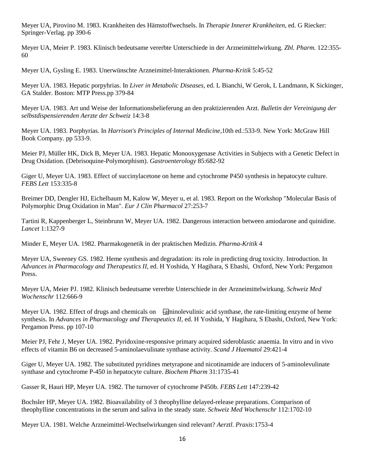Meyer UA, Pirovino M. 1983. Krankheiten des Hämstoffwechsels. In *Therapie Innerer Krankheiten*, ed. G Riecker: Springer-Verlag. pp 390-6

Meyer UA, Meier P. 1983. Klinisch bedeutsame vererbte Unterschiede in der Arzneimittelwirkung. *Zbl. Pharm.* 122:355- 60

Meyer UA, Gysling E. 1983. Unerwünschte Arzneimittel-Interaktionen. *Pharma-Kritik* 5:45-52

Meyer UA. 1983. Hepatic porpyhrias. In *Liver in Metabolic Diseases*, ed. L Bianchi, W Gerok, L Landmann, K Sickinger, GA Stalder. Boston: MTP Press.pp 379-84

Meyer UA. 1983. Art und Weise der Informationsbelieferung an den praktizierenden Arzt. *Bulletin der Vereinigung der selbstdispensierenden Aerzte der Schweiz* 14:3-8

Meyer UA. 1983. Porphyrias. In *Harrison's Principles of Internal Medicine*,10th ed.:533-9. New York: McGraw Hill Book Company. pp 533-9.

Meier PJ, Müller HK, Dick B, Meyer UA. 1983. Hepatic Monooxygenase Activities in Subjects with a Genetic Defect in Drug Oxidation. (Debrisoquine-Polymorphism). *Gastroenterology* 85:682-92

Giger U, Meyer UA. 1983. Effect of succinylacetone on heme and cytochrome P450 synthesis in hepatocyte culture. *FEBS Lett* 153:335-8

Breimer DD, Dengler HJ, Eichelbaum M, Kalow W, Meyer u, et al. 1983. Report on the Workshop "Molecular Basis of Polymorphic Drug Oxidation in Man". *Eur J Clin Pharmacol* 27:253-7

Tartini R, Kappenberger L, Steinbrunn W, Meyer UA. 1982. Dangerous interaction between amiodarone and quinidine. *Lancet* 1:1327-9

Minder E, Meyer UA. 1982. Pharmakogenetik in der praktischen Medizin. *Pharma-Kritik* 4

Meyer UA, Sweeney GS. 1982. Heme synthesis and degradation: its role in predicting drug toxicity. Introduction. In *Advances in Pharmacology and Therapeutics II*, ed. H Yoshida, Y Hagihara, S Ebashi, Oxford, New York: Pergamon Press.

Meyer UA, Meier PJ. 1982. Klinisch bedeutsame vererbte Unterschiede in der Arzneimittelwirkung. *Schweiz Med Wochenschr* 112:666-9

Meyer UA. 1982. Effect of drugs and chemicals on - **aminolevulinic acid synthase**, the rate-limiting enzyme of heme synthesis. In *Advances in Pharmacology and Therapeutics II*, ed. H Yoshida, Y Hagihara, S Ebashi, Oxford, New York: Pergamon Press. pp 107-10

Meier PJ, Fehr J, Meyer UA. 1982. Pyridoxine-responsive primary acquired sideroblastic anaemia. In vitro and in vivo effects of vitamin B6 on decreased 5-aminolaevulinate synthase activity. *Scand J Haematol* 29:421-4

Giger U, Meyer UA. 1982. The substituted pyridines metyrapone and nicotinamide are inducers of 5-aminolevulinate synthase and cytochrome P-450 in hepatocyte culture. *Biochem Pharm* 31:1735-41

Gasser R, Hauri HP, Meyer UA. 1982. The turnover of cytochrome P450b. *FEBS Lett* 147:239-42

Bochsler HP, Meyer UA. 1982. Bioavailability of 3 theophylline delayed-release preparations. Comparison of theophylline concentrations in the serum and saliva in the steady state. *Schweiz Med Wochenschr* 112:1702-10

Meyer UA. 1981. Welche Arzneimittel-Wechselwirkungen sind relevant? *Aerztl. Praxis*:1753-4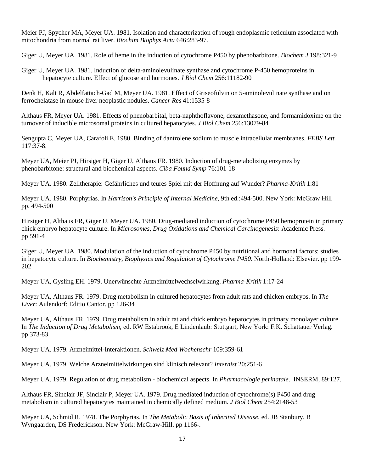Meier PJ, Spycher MA, Meyer UA. 1981. Isolation and characterization of rough endoplasmic reticulum associated with mitochondria from normal rat liver. *Biochim Biophys Acta* 646:283-97.

Giger U, Meyer UA. 1981. Role of heme in the induction of cytochrome P450 by phenobarbitone. *Biochem J* 198:321-9

Giger U, Meyer UA. 1981. Induction of delta-aminolevulinate synthase and cytochrome P-450 hemoproteins in hepatocyte culture. Effect of glucose and hormones. *J Biol Chem* 256:11182-90

Denk H, Kalt R, Abdelfattach-Gad M, Meyer UA. 1981. Effect of Griseofulvin on 5-aminolevulinate synthase and on ferrochelatase in mouse liver neoplastic nodules. *Cancer Res* 41:1535-8

Althaus FR, Meyer UA. 1981. Effects of phenobarbital, beta-naphthoflavone, dexamethasone, and formamidoxime on the turnover of inducible microsomal proteins in cultured hepatocytes. *J Biol Chem* 256:13079-84

Sengupta C, Meyer UA, Carafoli E. 1980. Binding of dantrolene sodium to muscle intracellular membranes. *FEBS Lett* 117:37-8.

Meyer UA, Meier PJ, Hirsiger H, Giger U, Althaus FR. 1980. Induction of drug-metabolizing enzymes by phenobarbitone: structural and biochemical aspects. *Ciba Found Symp* 76:101-18

Meyer UA. 1980. Zelltherapie: Gefährliches und teures Spiel mit der Hoffnung auf Wunder? *Pharma-Kritik* 1:81

Meyer UA. 1980. Porphyrias. In *Harrison's Principle of Internal Medicine*, 9th ed.:494-500. New York: McGraw Hill pp. 494-500

Hirsiger H, Althaus FR, Giger U, Meyer UA. 1980. Drug-mediated induction of cytochrome P450 hemoprotein in primary chick embryo hepatocyte culture. In *Microsomes, Drug Oxidations and Chemical Carcinogenesis*: Academic Press. pp 591-4

Giger U, Meyer UA. 1980. Modulation of the induction of cytochrome P450 by nutritional and hormonal factors: studies in hepatocyte culture. In *Biochemistry, Biophysics and Regulation of Cytochrome P450*. North-Holland: Elsevier. pp 199- 202

Meyer UA, Gysling EH. 1979. Unerwünschte Arzneimittelwechselwirkung. *Pharma-Kritik* 1:17-24

Meyer UA, Althaus FR. 1979. Drug metabolism in cultured hepatocytes from adult rats and chicken embryos. In *The Liver*: Aulendorf: Editio Cantor. pp 126-34

Meyer UA, Althaus FR. 1979. Drug metabolism in adult rat and chick embryo hepatocytes in primary monolayer culture. In *The Induction of Drug Metabolism*, ed. RW Estabrook, E Lindenlaub: Stuttgart, New York: F.K. Schattauer Verlag. pp 373-83

Meyer UA. 1979. Arzneimittel-Interaktionen. *Schweiz Med Wochenschr* 109:359-61

Meyer UA. 1979. Welche Arzneimittelwirkungen sind klinisch relevant? *Internist* 20:251-6

Meyer UA. 1979. Regulation of drug metabolism - biochemical aspects. In *Pharmacologie perinatale*. INSERM, 89:127.

Althaus FR, Sinclair JF, Sinclair P, Meyer UA. 1979. Drug mediated induction of cytochrome(s) P450 and drug metabolism in cultured hepatocytes maintained in chemically defined medium. *J Biol Chem* 254:2148-53

Meyer UA, Schmid R. 1978. The Porphyrias. In *The Metabolic Basis of Inherited Disease*, ed. JB Stanbury, B Wyngaarden, DS Frederickson. New York: McGraw-Hill. pp 1166-.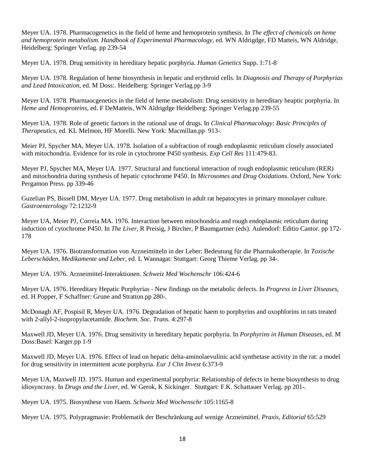Meyer UA. 1978. Pharmacogenetics in the field of heme and hemoprotein synthesis. In *The effect of chemicals on heme and hemoprotein metabolism. Handbook of Experimental Pharmacology*, ed. WN Aldrigdge, FD Matteis, WN Aldridge, Heidelberg: Springer Verlag. pp 239-54

Meyer UA. 1978. Drug sensitivity in hereditary hepatic porphyria. *Human Genetics* Supp. 1:71-8

Meyer UA. 1978. Regulation of heme biosynthesis in hepatic and erythroid cells. In *Diagnosis and Therapy of Porphyrias and Lead Intoxication*, ed. M Doss:. Heidelberg: Springer Verlag.pp 3-9

Meyer UA. 1978. Pharmaocgenetics in the field of heme metabolism: Drug sensitivity in hereditary heaptic porphyria. In *Heme and Hemoproteins*, ed. F DeMatteis, WN Aldrigdge Heidelberg: Springer Verlag.pp 239-55

Meyer UA. 1978. Role of genetic factors in the rational use of drugs. In *Clinical Pharmacology: Basic Principles of Therapeutics*, ed. KL Melmon, HF Morelli. New York: Macmillan.pp 913-.

Meier PJ, Spycher MA, Meyer UA. 1978. Isolation of a subfraction of rough endoplasmic reticulum closely associated with mitochondria. Evidence for its role in cytochrome P450 synthesis. *Exp Cell Res* 111:479-83.

Meyer PJ, Spycher MA, Meyer UA. 1977. Structural and functional interaction of rough endoplasmic reticulum (RER) and mitochondria during synthesis of hepatic cytochrome P450. In *Microsomes and Drug Oxidations*. Oxford, New York: Pergamon Press. pp 339-46

Guzelian PS, Bissell DM, Meyer UA. 1977. Drug metabolism in adult rat hepatocytes in primary monolayer culture. *Gastroenterology* 72:1232-9

Meyer UA, Meier PJ, Correia MA. 1976. Interaction between mitochondria and rough endoplasmic reticulum during induction of cytochrome P450. In *The Liver*, R Preisig, J Bircher, P Baumgartner (eds). Aulendorf: Editio Cantor. pp 172- 178

Meyer UA. 1976. Biotransformation von Arzneimitteln in der Leber: Bedeutung für die Pharmakotherapie. In *Toxische Leberschäden, Medikamente und Leber*, ed. L Wannagat: Stuttgart: Georg Thieme Verlag. pp 34-.

Meyer UA. 1976. Arzneimittel-Interaktionen. *Schweiz Med Wochenschr* 106:424-6

Meyer UA. 1976. Hereditary Hepatic Porphyrias - New findings on the metabolic defects. In *Progress in Liver Diseases*, ed. H Popper, F Schaffner: Grune and Stratton.pp 280-.

McDonagh AF, Pospisil R, Meyer UA. 1976. Degradation of hepatic haem to porphyrins and oxophlorins in rats treated with 2-allyl-2-isopropylacetamide. *Biochem. Soc. Trans.* 4:297-8

Maxwell JD, Meyer UA. 1976. Drug sensitivity in hereditary hepatic porphyria. In *Porphyrins in Human Diseases*, ed. M Doss:Basel: Karger.pp 1-9

Maxwell JD, Meyer UA. 1976. Effect of lead on hepatic delta-aminolaevulinic acid synthetase activity in the rat: a model for drug sensitivity in intermittent acute porphyria. *Eur J Clin Invest* 6:373-9

Meyer UA, Maxwell JD. 1975. Human and experimental porphyria: Relationship of defects in heme biosynthesis to drug idiosyncrasy. In *Drugs and the Liver*, ed. W Gerok, K Sickinger. Stuttgart: F.K. Schattauer Verlag. pp 201-.

Meyer UA. 1975. Biosynthese von Haem. *Schweiz Med Wochenschr* 105:1165-8

Meyer UA. 1975. Polypragmasie: Problematik der Beschränkung auf wenige Arzneimittel. *Praxis, Editorial* 65:529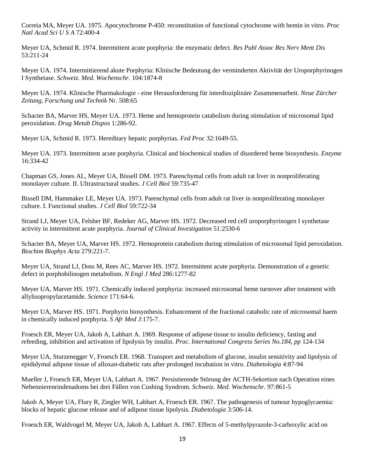Correia MA, Meyer UA. 1975. Apocytochrome P-450: reconstitution of functional cytochrome with hemin in vitro. *Proc Natl Acad Sci U S A* 72:400-4

Meyer UA, Schmid R. 1974. Intermittent acute porphyria: the enzymatic defect. *Res Publ Assoc Res Nerv Ment Dis* 53:211-24

Meyer UA. 1974. Intermittierend akute Porphyria: Klinische Bedeutung der verminderten Aktivität der Uroporphyrinogen I Synthetase. *Schweiz. Med. Wochenschr.* 104:1874-8

Meyer UA. 1974. Klinische Pharmakologie - eine Herausforderung für interdisziplinäre Zusammenarbeit. *Neue Zürcher Zeitung, Forschung und Technik* Nr. 508:65

Schacter BA, Marver HS, Meyer UA. 1973. Heme and hemoprotein catabolism during stimulation of microsomal lipid peroxidation. *Drug Metab Dispos* 1:286-92.

Meyer UA, Schmid R. 1973. Hereditary hepatic porphyrias. *Fed Proc* 32:1649-55.

Meyer UA. 1973. Intermittent acute porphyria. Clinical and biochemical studies of disordered heme biosynthesis. *Enzyme* 16:334-42

Chapman GS, Jones AL, Meyer UA, Bissell DM. 1973. Parenchymal cells from adult rat liver in nonproliferating monolayer culture. II. Ultrastructural studies. *J Cell Biol* 59:735-47

Bissell DM, Hammaker LE, Meyer UA. 1973. Parenchymal cells from adult rat liver in nonproliferating monolayer culture. I. Functional studies. *J Cell Biol* 59:722-34

Strand LJ, Meyer UA, Felsher BF, Redeker AG, Marver HS. 1972. Decreased red cell uroporphyrinogen I synthetase activity in intermittent acute porphyria. *Journal of Clinical Investigation* 51:2530-6

Schacter BA, Meyer UA, Marver HS. 1972. Hemoprotein catabolism during stimulation of microsomal lipid peroxidation. *Biochim Biophys Acta* 279:221-7.

Meyer UA, Strand LJ, Doss M, Rees AC, Marver HS. 1972. Intermittent acute porphyria. Demonstration of a genetic defect in porphobilinogen metabolism. *N Engl J Med* 286:1277-82

Meyer UA, Marver HS. 1971. Chemically induced porphyria: increased microsomal heme turnover after treatment with allylisopropylacetamide. *Science* 171:64-6.

Meyer UA, Marver HS. 1971. Porphyrin biosynthesis. Enhancement of the fractional catabolic rate of microsomal haem in chemically induced porphyria. *S Afr Med J*:175-7.

Froesch ER, Meyer UA, Jakob A, Labhart A. 1969. Response of adipose tissue to insulin deficiency, fasting and refeeding, inhibition and activation of lipolysis by insulin. *Proc. International Congress Series No.184*, *pp* 124-134

Meyer UA, Sturzenegger V, Froesch ER. 1968. Transport and metabolism of glucose, insulin sensitivity and lipolysis of epididymal adipose tissue of alloxan-diabetic rats after prolonged incubation in vitro. *Diabetologia* 4:87-94

Mueller J, Froesch ER, Meyer UA, Labhart A. 1967. Persistierende Störung der ACTH-Sekretion nach Operation eines Nebennierenrindenadoms bei drei Fällen von Cushing Syndrom. *Schweiz. Med. Wochenschr.* 97:861-5

Jakob A, Meyer UA, Flury R, Ziegler WH, Labhart A, Froesch ER. 1967. The pathogenesis of tumour hypoglycaemia: blocks of hepatic glucose release and of adipose tissue lipolysis. *Diabetologia* 3:506-14.

Froesch ER, Waldvogel M, Meyer UA, Jakob A, Labhart A. 1967. Effects of 5-methylpyrazole-3-carboxylic acid on